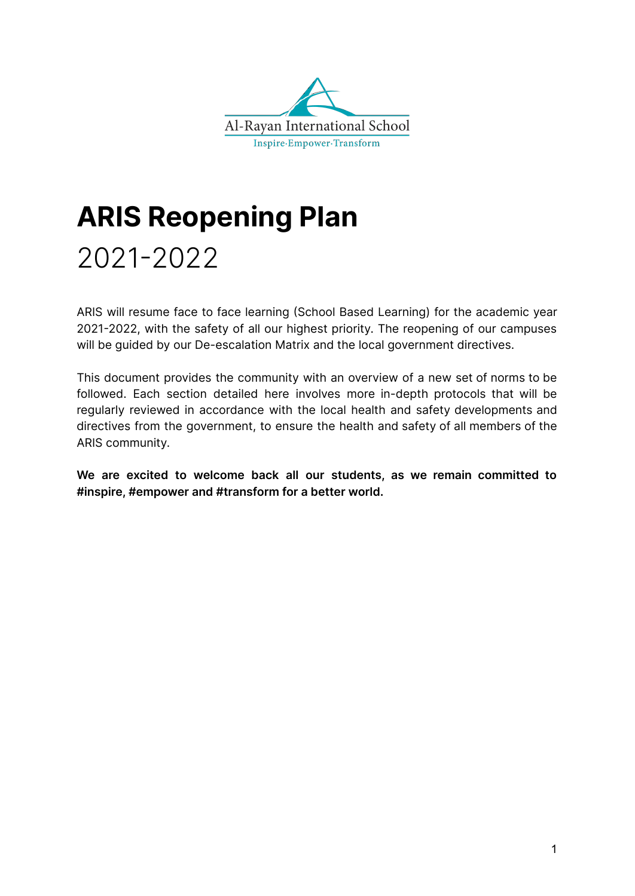

# **ARIS Reopening Plan**

# 2021-2022

ARIS will resume face to face learning (School Based Learning) for the academic year 2021-2022, with the safety of all our highest priority. The reopening of our campuses will be guided by our De-escalation Matrix and the local government directives.

This document provides the community with an overview of a new set of norms to be followed. Each section detailed here involves more in-depth protocols that will be regularly reviewed in accordance with the local health and safety developments and directives from the government, to ensure the health and safety of all members of the ARIS community.

**We are excited to welcome back all our students, as we remain committed to #inspire, #empower and #transform for a better world.**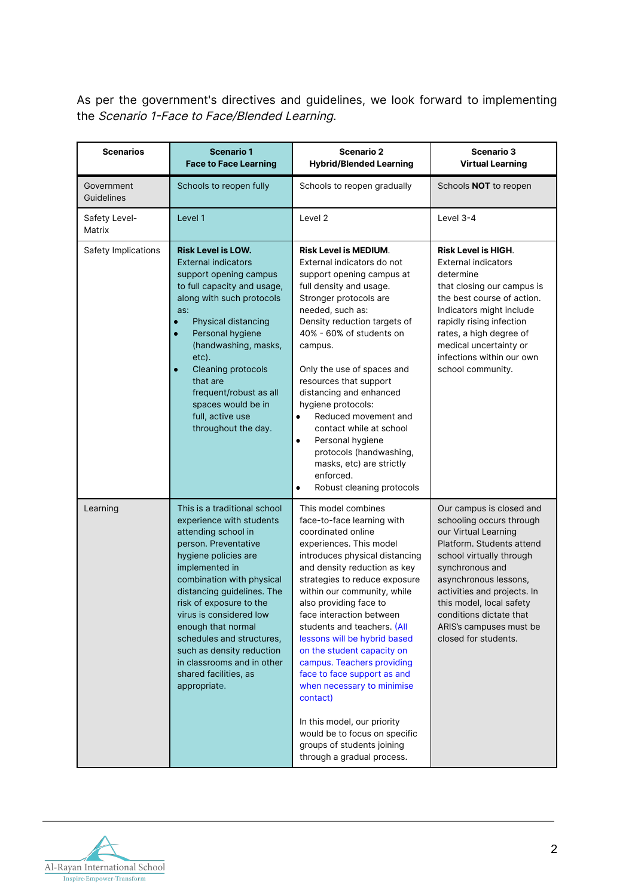As per the government's directives and guidelines, we look forward to implementing the Scenario 1-Face to Face/Blended Learning.

| <b>Scenarios</b>         | <b>Scenario 1</b><br><b>Face to Face Learning</b>                                                                                                                                                                                                                                                                                                                                                                         | <b>Scenario 2</b><br><b>Hybrid/Blended Learning</b>                                                                                                                                                                                                                                                                                                                                                                                                                                                                                                                                                                        | <b>Scenario 3</b><br><b>Virtual Learning</b>                                                                                                                                                                                                                                                                               |
|--------------------------|---------------------------------------------------------------------------------------------------------------------------------------------------------------------------------------------------------------------------------------------------------------------------------------------------------------------------------------------------------------------------------------------------------------------------|----------------------------------------------------------------------------------------------------------------------------------------------------------------------------------------------------------------------------------------------------------------------------------------------------------------------------------------------------------------------------------------------------------------------------------------------------------------------------------------------------------------------------------------------------------------------------------------------------------------------------|----------------------------------------------------------------------------------------------------------------------------------------------------------------------------------------------------------------------------------------------------------------------------------------------------------------------------|
| Government<br>Guidelines | Schools to reopen fully                                                                                                                                                                                                                                                                                                                                                                                                   | Schools to reopen gradually                                                                                                                                                                                                                                                                                                                                                                                                                                                                                                                                                                                                | Schools <b>NOT</b> to reopen                                                                                                                                                                                                                                                                                               |
| Safety Level-<br>Matrix  | Level 1                                                                                                                                                                                                                                                                                                                                                                                                                   | Level <sub>2</sub>                                                                                                                                                                                                                                                                                                                                                                                                                                                                                                                                                                                                         | Level 3-4                                                                                                                                                                                                                                                                                                                  |
| Safety Implications      | <b>Risk Level is LOW.</b><br><b>External indicators</b><br>support opening campus<br>to full capacity and usage,<br>along with such protocols<br>as:<br>Physical distancing<br>Personal hygiene<br>(handwashing, masks,<br>etc).<br><b>Cleaning protocols</b><br>Ō<br>that are<br>frequent/robust as all<br>spaces would be in<br>full, active use<br>throughout the day.                                                 | <b>Risk Level is MEDIUM.</b><br>External indicators do not<br>support opening campus at<br>full density and usage.<br>Stronger protocols are<br>needed, such as:<br>Density reduction targets of<br>40% - 60% of students on<br>campus.<br>Only the use of spaces and<br>resources that support<br>distancing and enhanced<br>hygiene protocols:<br>Reduced movement and<br>$\bullet$<br>contact while at school<br>Personal hygiene<br>$\bullet$<br>protocols (handwashing,<br>masks, etc) are strictly<br>enforced.<br>Robust cleaning protocols<br>$\bullet$                                                            | <b>Risk Level is HIGH.</b><br><b>External indicators</b><br>determine<br>that closing our campus is<br>the best course of action.<br>Indicators might include<br>rapidly rising infection<br>rates, a high degree of<br>medical uncertainty or<br>infections within our own<br>school community.                           |
| Learning                 | This is a traditional school<br>experience with students<br>attending school in<br>person. Preventative<br>hygiene policies are<br>implemented in<br>combination with physical<br>distancing guidelines. The<br>risk of exposure to the<br>virus is considered low<br>enough that normal<br>schedules and structures,<br>such as density reduction<br>in classrooms and in other<br>shared facilities, as<br>appropriate. | This model combines<br>face-to-face learning with<br>coordinated online<br>experiences. This model<br>introduces physical distancing<br>and density reduction as key<br>strategies to reduce exposure<br>within our community, while<br>also providing face to<br>face interaction between<br>students and teachers. (All<br>lessons will be hybrid based<br>on the student capacity on<br>campus. Teachers providing<br>face to face support as and<br>when necessary to minimise<br>contact)<br>In this model, our priority<br>would be to focus on specific<br>groups of students joining<br>through a gradual process. | Our campus is closed and<br>schooling occurs through<br>our Virtual Learning<br>Platform. Students attend<br>school virtually through<br>synchronous and<br>asynchronous lessons,<br>activities and projects. In<br>this model, local safety<br>conditions dictate that<br>ARIS's campuses must be<br>closed for students. |

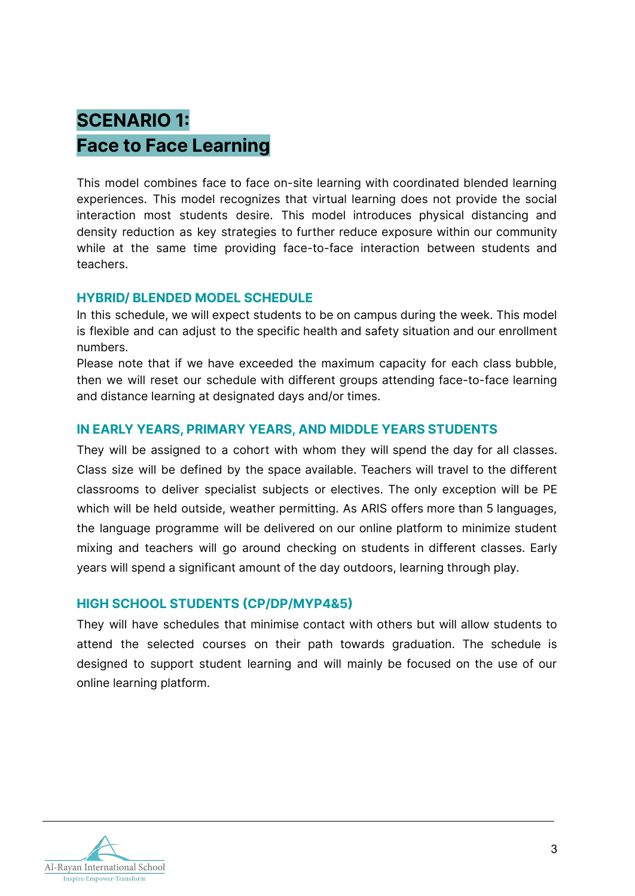# **SCENARIO 1: Face to Face Learning**

This model combines face to face on-site learning with coordinated blended learning experiences. This model recognizes that virtual learning does not provide the social interaction most students desire. This model introduces physical distancing and density reduction as key strategies to further reduce exposure within our community while at the same time providing face-to-face interaction between students and teachers.

#### **HYBRID/ BLENDED MODEL SCHEDULE**

In this schedule, we will expect students to be on campus during the week. This model is flexible and can adjust to the specific health and safety situation and our enrollment numbers.

Please note that if we have exceeded the maximum capacity for each class bubble, then we will reset our schedule with different groups attending face-to-face learning and distance learning at designated days and/or times.

#### **IN EARLY YEARS, PRIMARY YEARS, AND MIDDLE YEARS STUDENTS**

They will be assigned to a cohort with whom they will spend the day for all classes. Class size will be defined by the space available. Teachers will travel to the different classrooms to deliver specialist subjects or electives. The only exception will be PE which will be held outside, weather permitting. As ARIS offers more than 5 languages, the language programme will be delivered on our online platform to minimize student mixing and teachers will go around checking on students in different classes. Early years will spend a significant amount of the day outdoors, learning through play.

# **HIGH SCHOOL STUDENTS (CP/DP/MYP4&5)**

They will have schedules that minimise contact with others but will allow students to attend the selected courses on their path towards graduation. The schedule is designed to support student learning and will mainly be focused on the use of our online learning platform.

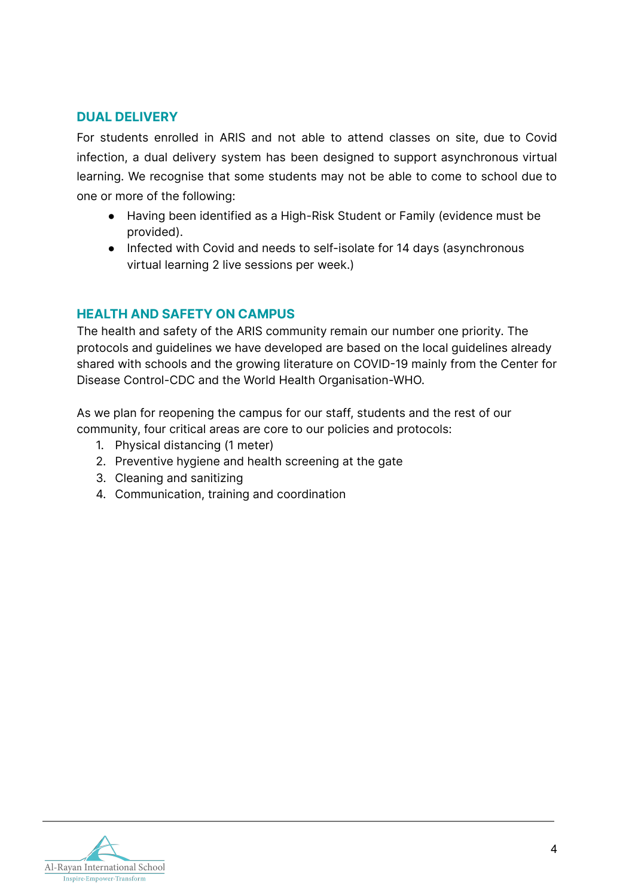# **DUAL DELIVERY**

For students enrolled in ARIS and not able to attend classes on site, due to Covid infection, a dual delivery system has been designed to support asynchronous virtual learning. We recognise that some students may not be able to come to school due to one or more of the following:

- Having been identified as a High-Risk Student or Family (evidence must be provided).
- Infected with Covid and needs to self-isolate for 14 days (asynchronous virtual learning 2 live sessions per week.)

# **HEALTH AND SAFETY ON CAMPUS**

The health and safety of the ARIS community remain our number one priority. The protocols and guidelines we have developed are based on the local guidelines already shared with schools and the growing literature on COVID-19 mainly from the Center for Disease Control-CDC and the World Health Organisation-WHO.

As we plan for reopening the campus for our staff, students and the rest of our community, four critical areas are core to our policies and protocols:

- 1. Physical distancing (1 meter)
- 2. Preventive hygiene and health screening at the gate
- 3. Cleaning and sanitizing
- 4. Communication, training and coordination

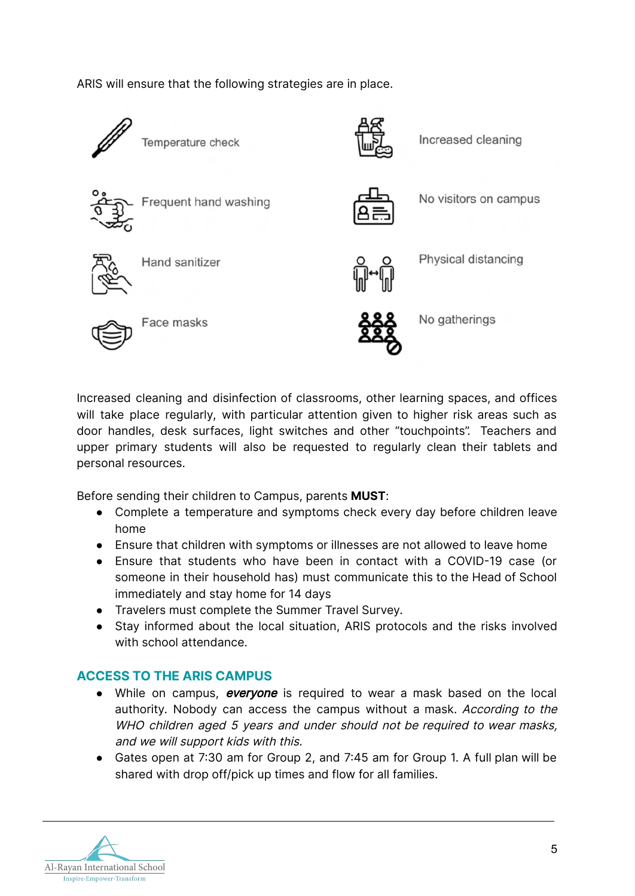ARIS will ensure that the following strategies are in place.



Increased cleaning and disinfection of classrooms, other learning spaces, and offices will take place regularly, with particular attention given to higher risk areas such as door handles, desk surfaces, light switches and other "touchpoints". Teachers and upper primary students will also be requested to regularly clean their tablets and personal resources.

Before sending their children to Campus, parents **MUST**:

- Complete a temperature and symptoms check every day before children leave home
- Ensure that children with symptoms or illnesses are not allowed to leave home
- Ensure that students who have been in contact with a COVID-19 case (or someone in their household has) must communicate this to the Head of School immediately and stay home for 14 days
- Travelers must complete the Summer Travel Survey.
- Stay informed about the local situation, ARIS protocols and the risks involved with school attendance.

# **ACCESS TO THE ARIS CAMPUS**

- While on campus, everyone is required to wear a mask based on the local authority. Nobody can access the campus without a mask. According to the WHO children aged <sup>5</sup> years and under should not be required to wear masks, and we will support kids with this.
- Gates open at 7:30 am for Group 2, and 7:45 am for Group 1. A full plan will be shared with drop off/pick up times and flow for all families.

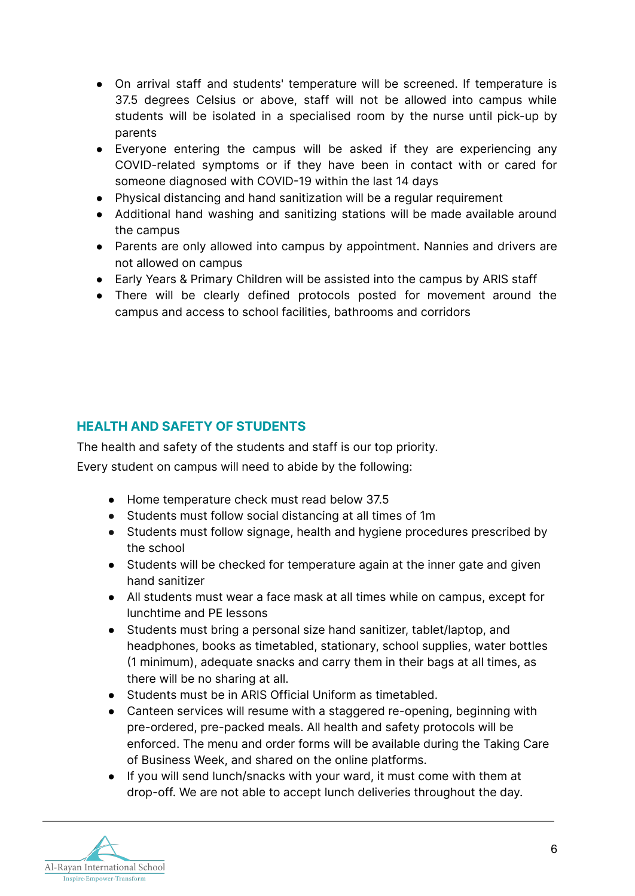- On arrival staff and students' temperature will be screened. If temperature is 37.5 degrees Celsius or above, staff will not be allowed into campus while students will be isolated in a specialised room by the nurse until pick-up by parents
- Everyone entering the campus will be asked if they are experiencing any COVID-related symptoms or if they have been in contact with or cared for someone diagnosed with COVID-19 within the last 14 days
- Physical distancing and hand sanitization will be a regular requirement
- Additional hand washing and sanitizing stations will be made available around the campus
- Parents are only allowed into campus by appointment. Nannies and drivers are not allowed on campus
- Early Years & Primary Children will be assisted into the campus by ARIS staff
- There will be clearly defined protocols posted for movement around the campus and access to school facilities, bathrooms and corridors

# **HEALTH AND SAFETY OF STUDENTS**

The health and safety of the students and staff is our top priority.

Every student on campus will need to abide by the following:

- Home temperature check must read below 37.5
- Students must follow social distancing at all times of 1m
- Students must follow signage, health and hygiene procedures prescribed by the school
- Students will be checked for temperature again at the inner gate and given hand sanitizer
- All students must wear a face mask at all times while on campus, except for lunchtime and PE lessons
- Students must bring a personal size hand sanitizer, tablet/laptop, and headphones, books as timetabled, stationary, school supplies, water bottles (1 minimum), adequate snacks and carry them in their bags at all times, as there will be no sharing at all.
- Students must be in ARIS Official Uniform as timetabled.
- Canteen services will resume with a staggered re-opening, beginning with pre-ordered, pre-packed meals. All health and safety protocols will be enforced. The menu and order forms will be available during the Taking Care of Business Week, and shared on the online platforms.
- If you will send lunch/snacks with your ward, it must come with them at drop-off. We are not able to accept lunch deliveries throughout the day.

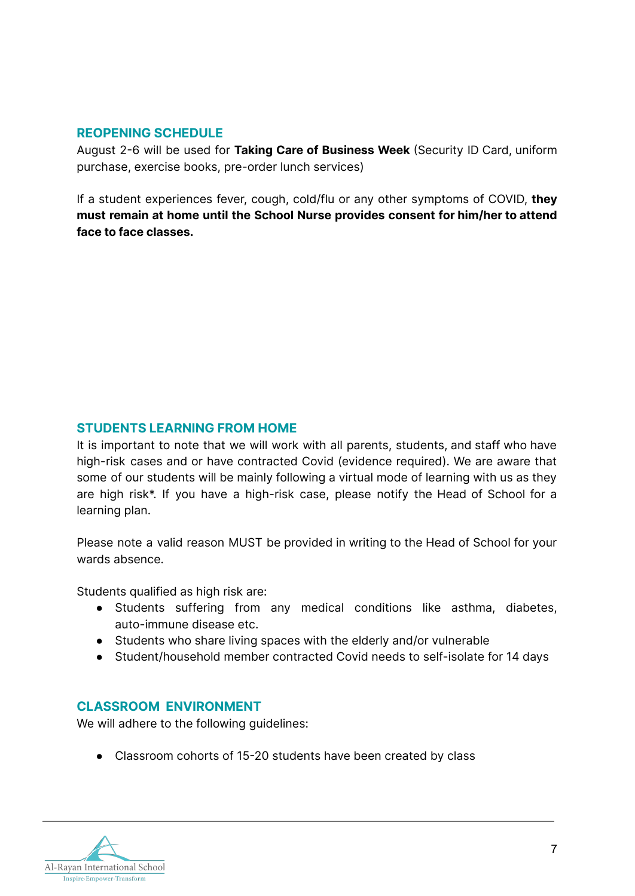#### **REOPENING SCHEDULE**

August 2-6 will be used for **Taking Care of Business Week** (Security ID Card, uniform purchase, exercise books, pre-order lunch services)

If a student experiences fever, cough, cold/flu or any other symptoms of COVID, **they must remain at home until the School Nurse provides consent for him/her to attend face to face classes.**

# **STUDENTS LEARNING FROM HOME**

It is important to note that we will work with all parents, students, and staff who have high-risk cases and or have contracted Covid (evidence required). We are aware that some of our students will be mainly following a virtual mode of learning with us as they are high risk\*. If you have a high-risk case, please notify the Head of School for a learning plan.

Please note a valid reason MUST be provided in writing to the Head of School for your wards absence.

Students qualified as high risk are:

- Students suffering from any medical conditions like asthma, diabetes, auto-immune disease etc.
- Students who share living spaces with the elderly and/or vulnerable
- Student/household member contracted Covid needs to self-isolate for 14 days

# **CLASSROOM ENVIRONMENT**

We will adhere to the following guidelines:

● Classroom cohorts of 15-20 students have been created by class

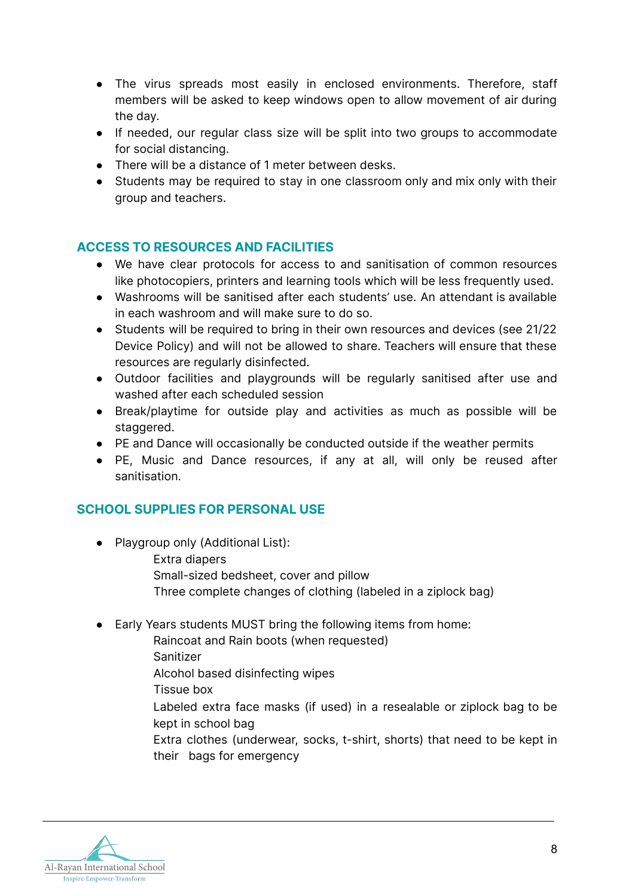- The virus spreads most easily in enclosed environments. Therefore, staff members will be asked to keep windows open to allow movement of air during the day.
- If needed, our regular class size will be split into two groups to accommodate for social distancing.
- There will be a distance of 1 meter between desks.
- Students may be required to stay in one classroom only and mix only with their group and teachers.

# **ACCESS TO RESOURCES AND FACILITIES**

- We have clear protocols for access to and sanitisation of common resources like photocopiers, printers and learning tools which will be less frequently used.
- Washrooms will be sanitised after each students' use. An attendant is available in each washroom and will make sure to do so.
- Students will be required to bring in their own resources and devices (see 21/22 Device Policy) and will not be allowed to share. Teachers will ensure that these resources are regularly disinfected.
- Outdoor facilities and playgrounds will be regularly sanitised after use and washed after each scheduled session
- Break/playtime for outside play and activities as much as possible will be staggered.
- PE and Dance will occasionally be conducted outside if the weather permits
- PE, Music and Dance resources, if any at all, will only be reused after sanitisation.

# **SCHOOL SUPPLIES FOR PERSONAL USE**

- Playgroup only (Additional List):
	- Extra diapers
	- Small-sized bedsheet, cover and pillow
	- Three complete changes of clothing (labeled in a ziplock bag)
- Early Years students MUST bring the following items from home:
	- Raincoat and Rain boots (when requested)
		- Sanitizer
		- Alcohol based disinfecting wipes
		- Tissue box
		- Labeled extra face masks (if used) in a resealable or ziplock bag to be kept in school bag
		- Extra clothes (underwear, socks, t-shirt, shorts) that need to be kept in their bags for emergency

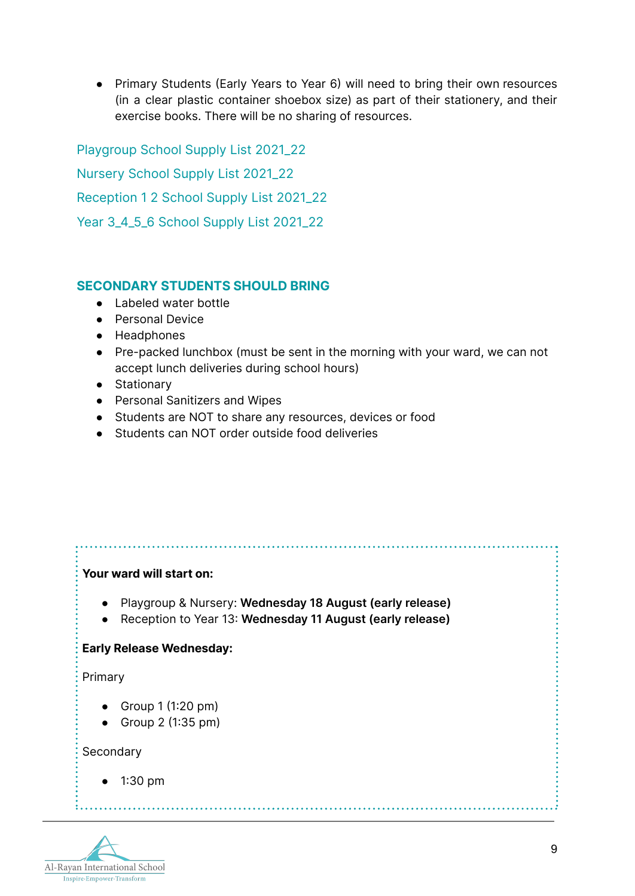● Primary Students (Early Years to Year 6) will need to bring their own resources (in a clear plastic container shoebox size) as part of their stationery, and their exercise books. There will be no sharing of resources.

[Playgroup School Supply List 2021\\_22](https://www.aris.edu.gh/img/uploads/pages/2020/Supply/Playgroup_Supply_List_2021_22.pdf) [Nursery School Supply List 2021\\_22](https://www.aris.edu.gh/img/uploads/pages/2020/Supply/Nursery_Supply_List_2021_22.pdf) [Reception 1 2 School Supply List 2021\\_22](https://www.aris.edu.gh/img/uploads/pages/2020/Supply/Reception_1_2_Supply_2021_22_w_device.pdf) [Year 3\\_4\\_5\\_6 School Supply List 2021\\_22](https://www.aris.edu.gh/img/uploads/pages/2020/Supply/Supply_List_2021_22_Year_3_4_5_6_w_art.pdf)

# **SECONDARY STUDENTS SHOULD BRING**

- Labeled water bottle
- Personal Device
- Headphones
- Pre-packed lunchbox (must be sent in the morning with your ward, we can not accept lunch deliveries during school hours)
- Stationary
- Personal Sanitizers and Wipes
- Students are NOT to share any resources, devices or food
- Students can NOT order outside food deliveries

#### **Your ward will start on:**

- Playgroup & Nursery: **Wednesday 18 August (early release)**
- **●** Reception to Year 13: **Wednesday 11 August (early release)**

#### **Early Release Wednesday:**

Primary

- $\bullet$  Group 1 (1:20 pm)
- Group 2 (1:35 pm)

**Secondary** 

● 1:30 pm

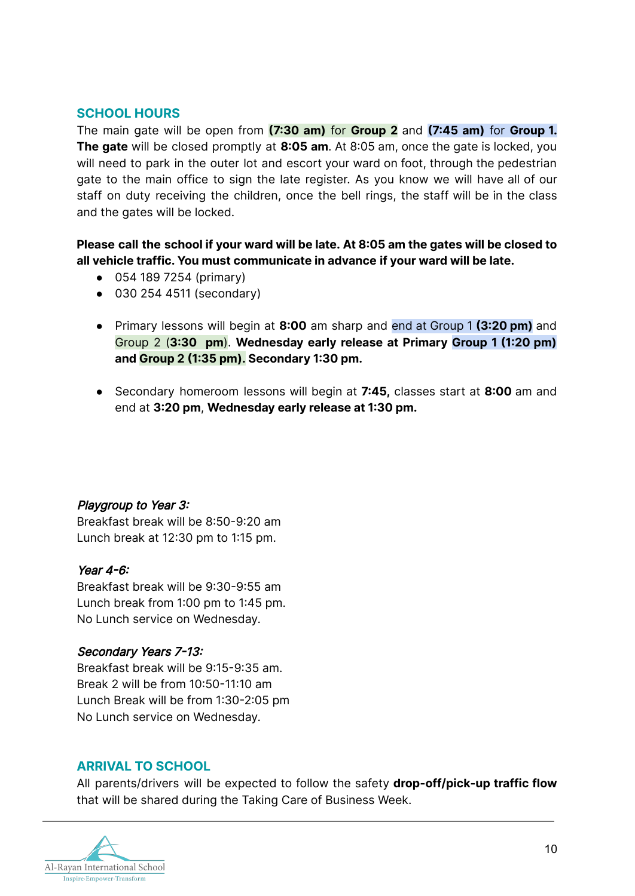### **SCHOOL HOURS**

The main gate will be open from **(7:30 am)** for **Group 2** and **(7:45 am)** for **Group 1. The gate** will be closed promptly at **8:05 am**. At 8:05 am, once the gate is locked, you will need to park in the outer lot and escort your ward on foot, through the pedestrian gate to the main office to sign the late register. As you know we will have all of our staff on duty receiving the children, once the bell rings, the staff will be in the class and the gates will be locked.

**Please call the school if your ward will be late. At 8:05 am the gates will be closed to all vehicle traffic. You must communicate in advance if your ward will be late.**

- 054 189 7254 (primary)
- 030 254 4511 (secondary)
- Primary lessons will begin at **8:00** am sharp and end at Group 1 **(3:20 pm)** and Group 2 (**3:30 pm**). **Wednesday early release at Primary Group 1 (1:20 pm) and Group 2 (1:35 pm). Secondary 1:30 pm.**
- Secondary homeroom lessons will begin at **7:45,** classes start at **8:00** am and end at **3:20 pm**, **Wednesday early release at 1:30 pm.**

#### Playgroup to Year 3:

Breakfast break will be 8:50-9:20 am Lunch break at 12:30 pm to 1:15 pm.

#### Year 4-6:

Breakfast break will be 9:30-9:55 am Lunch break from 1:00 pm to 1:45 pm. No Lunch service on Wednesday.

#### Secondary Years 7-13:

Breakfast break will be 9:15-9:35 am. Break 2 will be from 10:50-11:10 am Lunch Break will be from 1:30-2:05 pm No Lunch service on Wednesday.

#### **ARRIVAL TO SCHOOL**

All parents/drivers will be expected to follow the safety **drop-off/pick-up traffic flow** that will be shared during the Taking Care of Business Week.